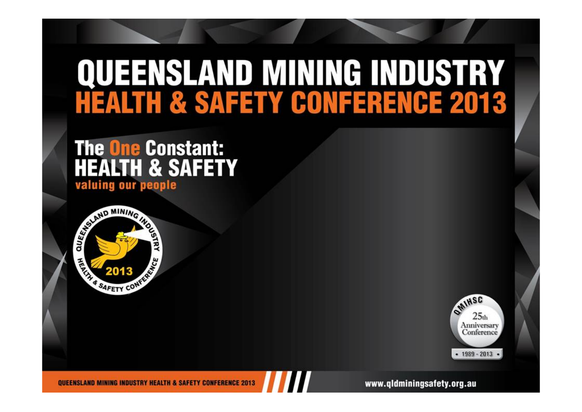### **QUEENSLAND MINING INDUSTRY HEALTH & SAFETY CONFERENCE 2013**

### **The One Constant: HEALTH & SAFETY** valuing our people





QUEENSLAND MINING INDUSTRY HEALTH & SAFETY CONFERENCE 2013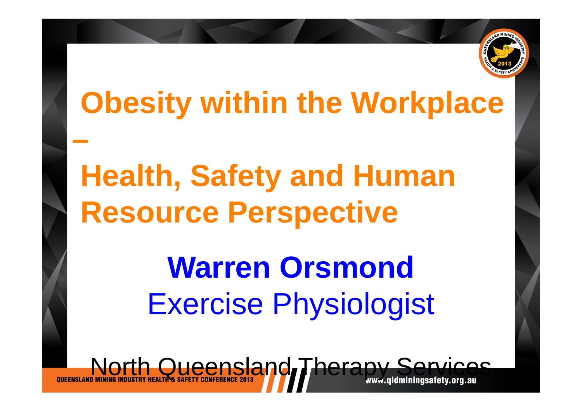

### **Obesity within the Workplace**

## **Health, Safety and Human Resource Perspective**

# **Warren Orsmond** Exercise Physiologist

North Queensland Therapy Service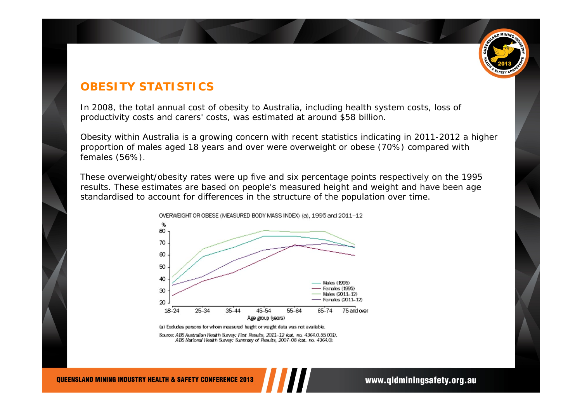

#### **OBESITY STATISTICS**

In 2008, the total annual cost of obesity to Australia, including health system costs, loss of productivity costs and carers' costs, was estimated at around \$58 billion.

Obesity within Australia is a growing concern with recent statistics indicating in 2011-2012 a higher proportion of males aged 18 years and over were overweight or obese (70%) compared with females (56%).

These overweight/obesity rates were up five and six percentage points respectively on the 1995 results. These estimates are based on people's measured height and weight and have been age standardised to account for differences in the structure of the population over time.



(a) Excludes persons for whom measured height or weight data was not available.

Source: ABS Australian Health Survey: First Results, 2011-12 (cat. no. 4364.0.55.001). ABS National Health Survey: Summary of Results, 2007-08 (cat. no. 4364.0).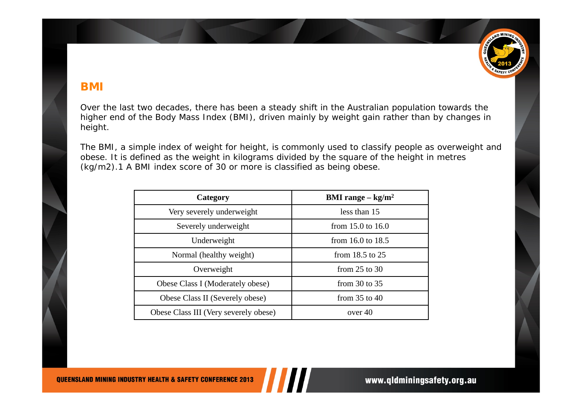

#### **BMI**

Over the last two decades, there has been a steady shift in the Australian population towards the higher end of the Body Mass Index (BMI), driven mainly by weight gain rather than by changes in height.

The BMI, a simple index of weight for height, is commonly used to classify people as overweight and obese. It is defined as the weight in kilograms divided by the square of the height in metres (kg/m2).1 A BMI index score of 30 or more is classified as being obese.

| Category                              | <b>BMI</b> range $-\text{kg/m}^2$ |
|---------------------------------------|-----------------------------------|
| Very severely underweight             | less than 15                      |
| Severely underweight                  | from $15.0$ to $16.0$             |
| Underweight                           | from $16.0$ to $18.5$             |
| Normal (healthy weight)               | from $18.5$ to $25$               |
| Overweight                            | from $25$ to $30$                 |
| Obese Class I (Moderately obese)      | from $30$ to $35$                 |
| Obese Class II (Severely obese)       | from $35$ to $40$                 |
| Obese Class III (Very severely obese) | over 40                           |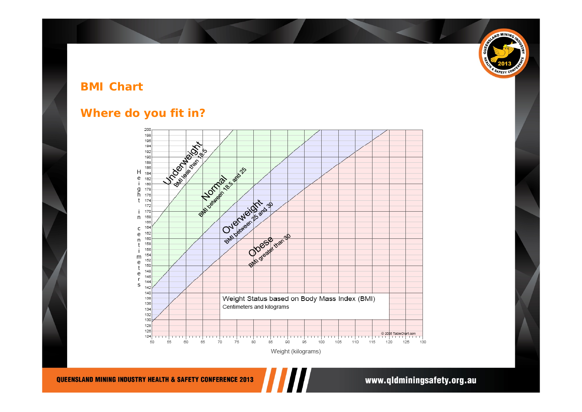### SAND MINING ã **FETY**

#### **BMI Chart**

#### **Where do you fit in?**

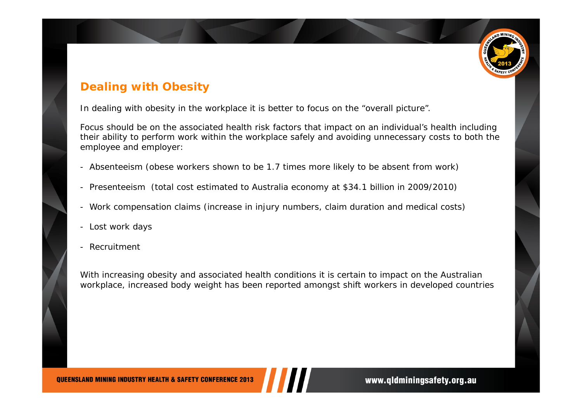

#### **Dealing with Obesity**

In dealing with obesity in the workplace it is better to focus on the "overall picture".

Focus should be on the associated health risk factors that impact on an individual's health including their ability to perform work within the workplace safely and avoiding unnecessary costs to both the employee and employer:

- Absenteeism (obese workers shown to be 1.7 times more likely to be absent from work)
- -Presenteeism (total cost estimated to Australia economy at \$34.1 billion in 2009/2010)
- -Work compensation claims (increase in injury numbers, claim duration and medical costs)
- Lost work days
- -Recruitment

With increasing obesity and associated health conditions it is certain to impact on the Australian workplace, increased body weight has been reported amongst shift workers in developed countries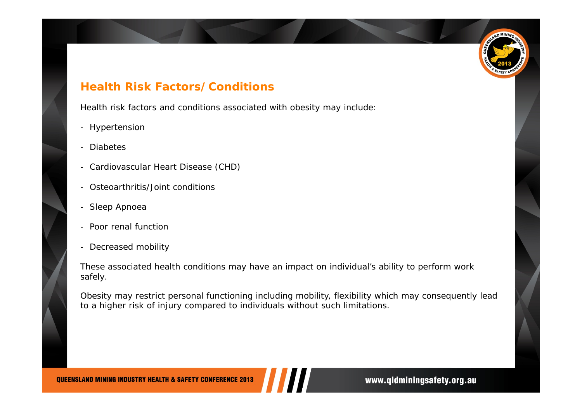# **D MININ**

#### **Health Risk Factors/Conditions**

Health risk factors and conditions associated with obesity may include:

- Hypertension
- -Diabetes
- -Cardiovascular Heart Disease (CHD)
- -Osteoarthritis/Joint conditions
- -Sleep Apnoea
- Poor renal function
- Decreased mobility

These associated health conditions may have an impact on individual's ability to perform work safely.

Obesity may restrict personal functioning including mobility, flexibility which may consequently lead to a higher risk of injury compared to individuals without such limitations.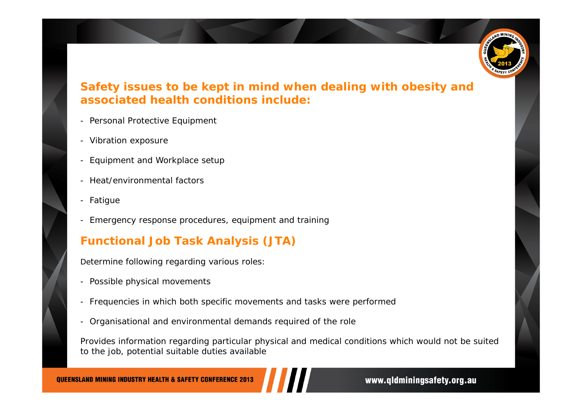

#### **Safety issues to be kept in mind when dealing with obesity and associated health conditions include:**

- Personal Protective Equipment
- Vibration exposure
- -Equipment and Workplace setup
- -Heat/environmental factors
- -Fatigue
- -Emergency response procedures, equipment and training

#### **Functional Job Task Analysis (JTA)**

Determine following regarding various roles:

- Possible physical movements
- -Frequencies in which both specific movements and tasks were performed
- -Organisational and environmental demands required of the role

Provides information regarding particular physical and medical conditions which would not be suited to the job, potential suitable duties available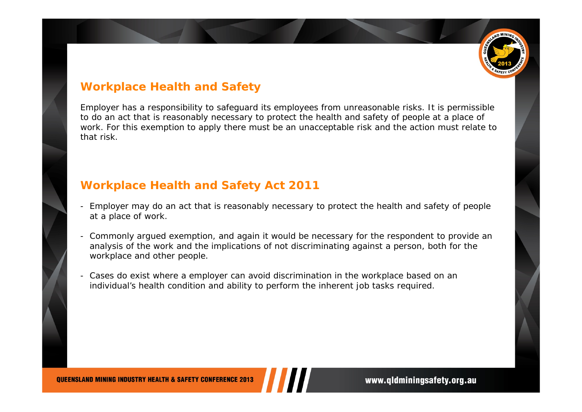

#### **Workplace Health and Safety**

Employer has a responsibility to safeguard its employees from unreasonable risks. It is permissible to do an act that is reasonably necessary to protect the health and safety of people at a place of work. For this exemption to apply there must be an unacceptable risk and the action must relate to that risk.

#### **Workplace Health and Safety Act 2011**

- Employer may do an act that is reasonably necessary to protect the health and safety of people at a place of work.
- Commonly argued exemption, and again it would be necessary for the respondent to provide an analysis of the work and the implications of not discriminating against a person, both for the workplace and other people.
- Cases do exist where a employer can avoid discrimination in the workplace based on an individual's health condition and ability to perform the inherent job tasks required.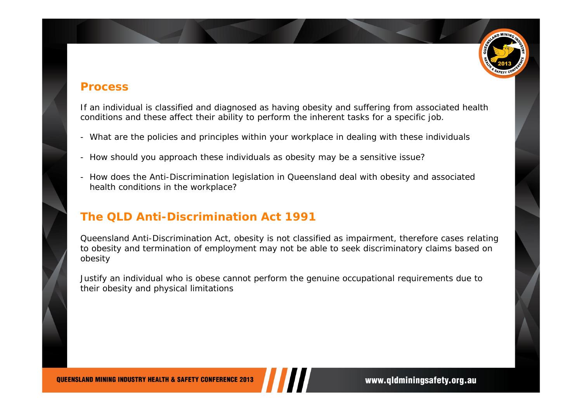

#### **Process**

If an individual is classified and diagnosed as having obesity and suffering from associated health conditions and these affect their ability to perform the inherent tasks for a specific job.

- What are the policies and principles within your workplace in dealing with these individuals
- -How should you approach these individuals as obesity may be a sensitive issue?
- - How does the Anti-Discrimination legislation in Queensland deal with obesity and associated health conditions in the workplace?

#### **The QLD Anti-Discrimination Act 1991**

Queensland Anti-Discrimination Act, obesity is not classified as impairment, therefore cases relating to obesity and termination of employment may not be able to seek discriminatory claims based on obesity

Justify an individual who is obese cannot perform the genuine occupational requirements due to their obesity and physical limitations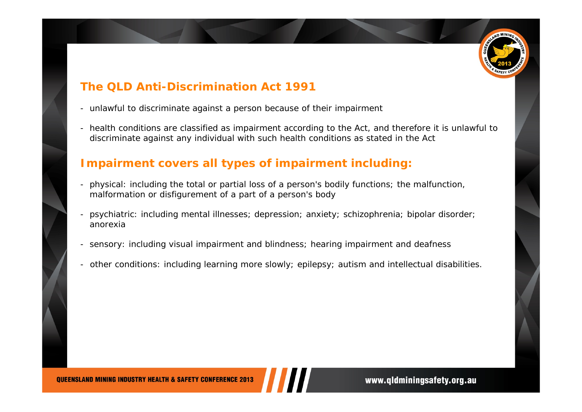

#### **The QLD Anti-Discrimination Act 1991**

- unlawful to discriminate against a person because of their impairment
- health conditions are classified as impairment according to the Act, and therefore it is unlawful to discriminate against any individual with such health conditions as stated in the Act

#### **Impairment covers all types of impairment including:**

- physical: including the total or partial loss of a person's bodily functions; the malfunction, malformation or disfigurement of a part of a person's body
- psychiatric: including mental illnesses; depression; anxiety; schizophrenia; bipolar disorder; anorexia
- sensory: including visual impairment and blindness; hearing impairment and deafness
- other conditions: including learning more slowly; epilepsy; autism and intellectual disabilities.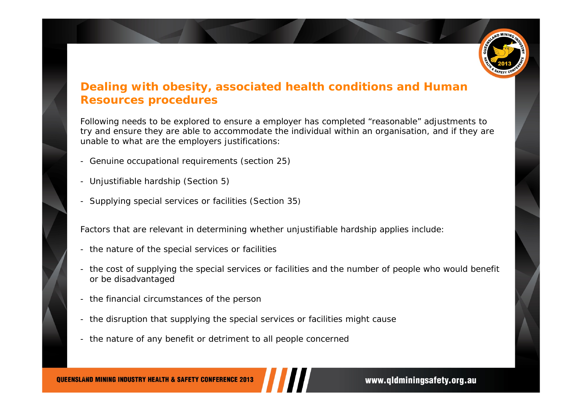

#### **Dealing with obesity, associated health conditions and Human Resources procedures**

Following needs to be explored to ensure a employer has completed "reasonable" adjustments to try and ensure they are able to accommodate the individual within an organisation, and if they are unable to what are the employers justifications:

- Genuine occupational requirements (section 25)
- Unjustifiable hardship (Section 5)
- -Supplying special services or facilities (Section 35)

Factors that are relevant in determining whether unjustifiable hardship applies include:

- the nature of the special services or facilities
- the cost of supplying the special services or facilities and the number of people who would benefit or be disadvantaged
- the financial circumstances of the person
- the disruption that supplying the special services or facilities might cause
- the nature of any benefit or detriment to all people concerned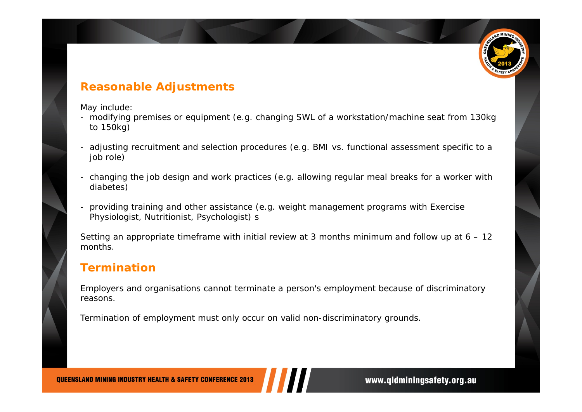

#### **Reasonable Adjustments**

May include:

- modifying premises or equipment (e.g. changing SWL of a workstation/machine seat from 130kg to 150kg)
- adjusting recruitment and selection procedures (e.g. BMI vs. functional assessment specific to a job role)
- changing the job design and work practices (e.g. allowing regular meal breaks for a worker with diabetes)
- providing training and other assistance (e.g. weight management programs with Exercise Physiologist, Nutritionist, Psychologist) s

Setting an appropriate timeframe with initial review at 3 months minimum and follow up at 6 – 12 months.

#### **Termination**

Employers and organisations cannot terminate a person's employment because of discriminatory reasons.

Termination of employment must only occur on valid non-discriminatory grounds.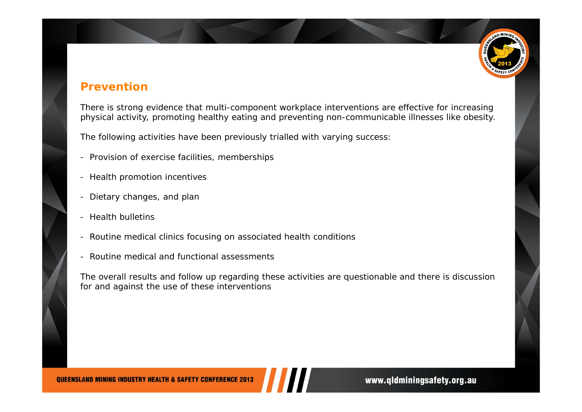#### **Prevention**

There is strong evidence that multi-component workplace interventions are effective for increasing physical activity, promoting healthy eating and preventing non-communicable illnesses like obesity.

The following activities have been previously trialled with varying success:

- -Provision of exercise facilities, memberships
- -Health promotion incentives
- -Dietary changes, and plan
- -Health bulletins
- -Routine medical clinics focusing on associated health conditions
- -Routine medical and functional assessments

The overall results and follow up regarding these activities are questionable and there is discussion for and against the use of these interventions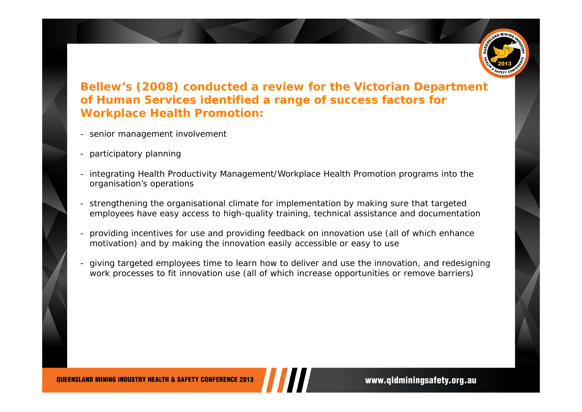

#### **Bellew's (2008) conducted a review for the Victorian Department of Human Services identified a range of success factors for Workplace Health Promotion:**

- senior management involvement
- participatory planning
- integrating Health Productivity Management/Workplace Health Promotion programs into the organisation's operations
- strengthening the organisational climate for implementation by making sure that targeted employees have easy access to high-quality training, technical assistance and documentation
- providing incentives for use and providing feedback on innovation use (all of which enhance motivation) and by making the innovation easily accessible or easy to use
- giving targeted employees time to learn how to deliver and use the innovation, and redesigning work processes to fit innovation use (all of which increase opportunities or remove barriers)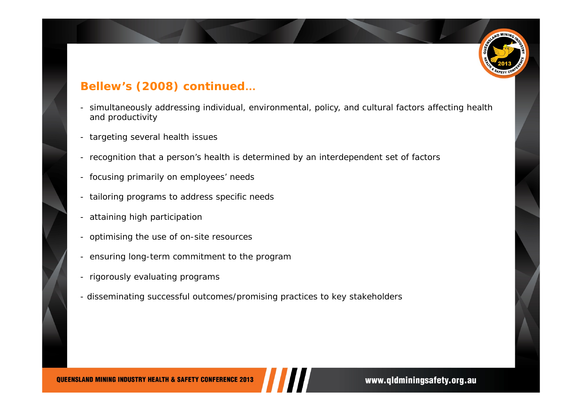

#### **Bellew's (2008) continued …**

- simultaneously addressing individual, environmental, policy, and cultural factors affecting health and productivity
- targeting several health issues
- recognition that a person's health is determined by an interdependent set of factors
- focusing primarily on employees' needs
- tailoring programs to address specific needs
- attaining high participation
- optimising the use of on-site resources
- ensuring long-term commitment to the program
- rigorously evaluating programs
- disseminating successful outcomes/promising practices to key stakeholders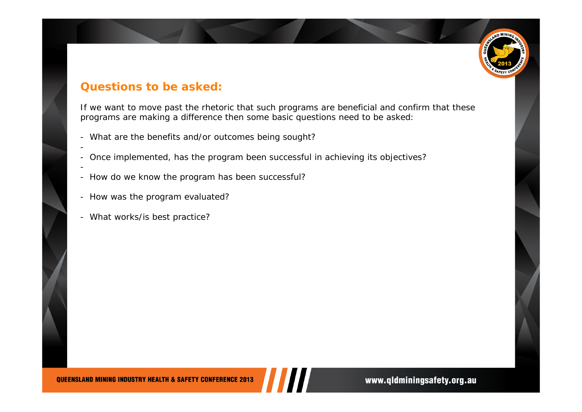

#### **Questions to be asked:**

If we want to move past the rhetoric that such programs are beneficial and confirm that these programs are making a difference then some basic questions need to be asked:

- -What are the benefits and/or outcomes being sought?
- -Once implemented, has the program been successful in achieving its objectives?
- -How do we know the program has been successful?
- -How was the program evaluated?
- What works/is best practice?

-

-